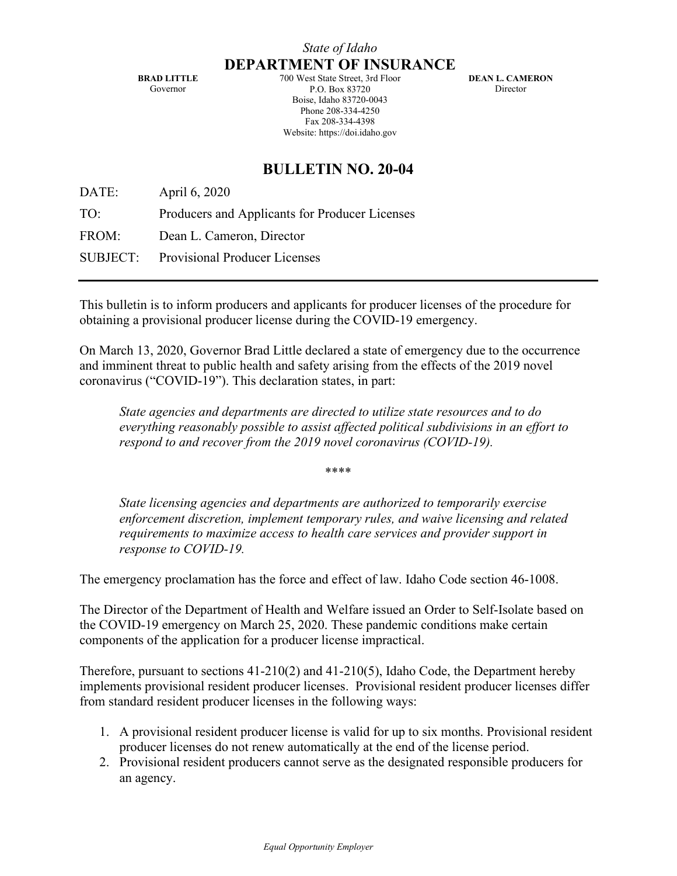**BRAD LITTLE** Governor

700 West State Street, 3rd Floor P.O. Box 83720 Boise, Idaho 83720-0043 Phone 208-334-4250 Fax 208-334-4398 Website: https://doi.idaho.gov

**DEAN L. CAMERON** Director

## **BULLETIN NO. 20-04**

DATE: April 6, 2020

TO: Producers and Applicants for Producer Licenses

FROM: Dean L. Cameron, Director

SUBJECT: Provisional Producer Licenses

This bulletin is to inform producers and applicants for producer licenses of the procedure for obtaining a provisional producer license during the COVID-19 emergency.

On March 13, 2020, Governor Brad Little declared a state of emergency due to the occurrence and imminent threat to public health and safety arising from the effects of the 2019 novel coronavirus ("COVID-19"). This declaration states, in part:

*State agencies and departments are directed to utilize state resources and to do everything reasonably possible to assist affected political subdivisions in an effort to respond to and recover from the 2019 novel coronavirus (COVID-19).* 

\*\*\*\*

*State licensing agencies and departments are authorized to temporarily exercise enforcement discretion, implement temporary rules, and waive licensing and related requirements to maximize access to health care services and provider support in response to COVID-19.* 

The emergency proclamation has the force and effect of law. Idaho Code section 46-1008.

The Director of the Department of Health and Welfare issued an Order to Self-Isolate based on the COVID-19 emergency on March 25, 2020. These pandemic conditions make certain components of the application for a producer license impractical.

Therefore, pursuant to sections  $41-210(2)$  and  $41-210(5)$ , Idaho Code, the Department hereby implements provisional resident producer licenses. Provisional resident producer licenses differ from standard resident producer licenses in the following ways:

- 1. A provisional resident producer license is valid for up to six months. Provisional resident producer licenses do not renew automatically at the end of the license period.
- 2. Provisional resident producers cannot serve as the designated responsible producers for an agency.